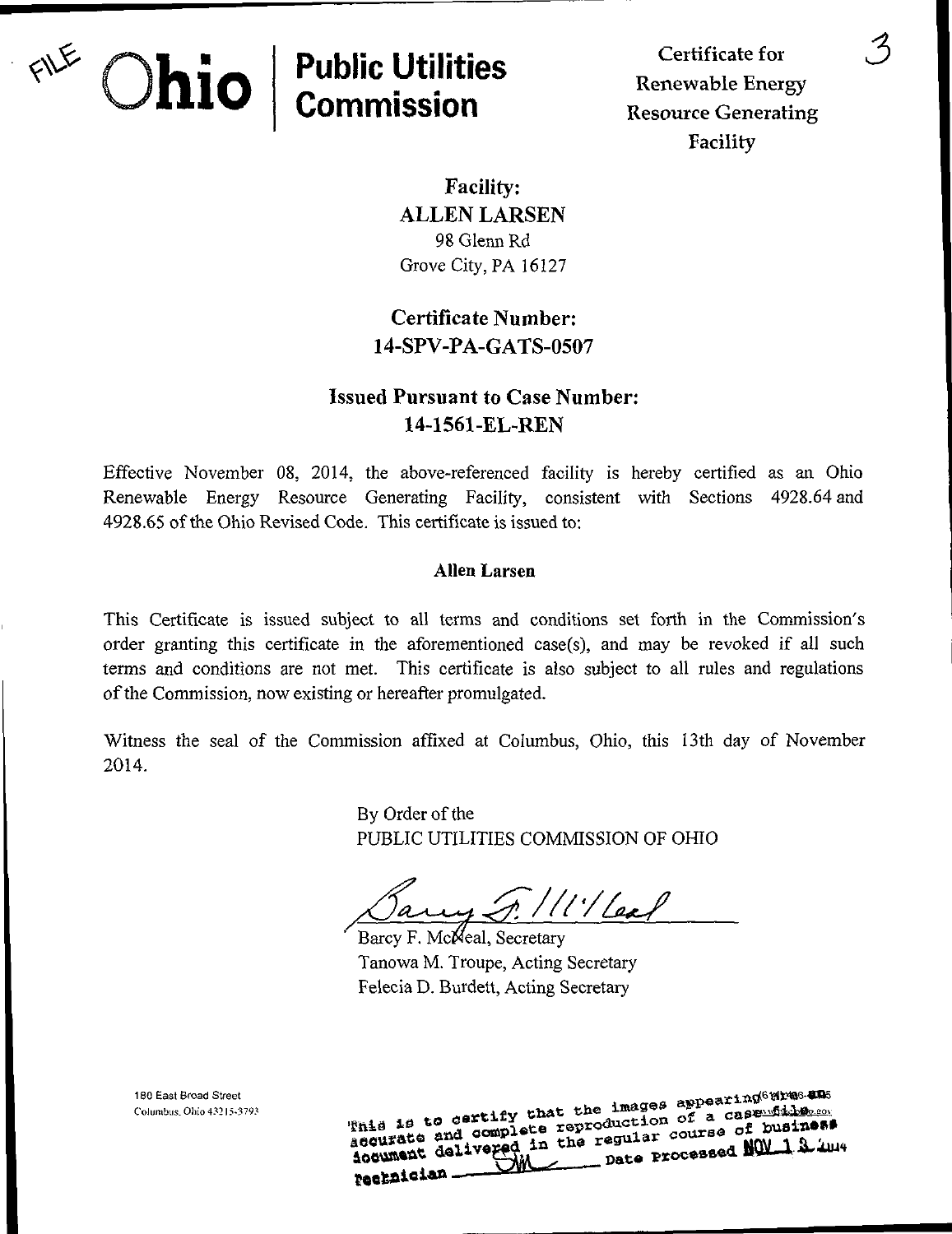# Public Utilities Commission

Certificate for Renewable Energy Resource Generating Facility

Facility: ALLEN LARSEN 98 Glenn Rd Grove City, PA 16127

# Certificate Number: 14-SPV-PA-GATS-0507

# **Issued Pursuant to Case Number:** 14-1561-EL-REN

Effective November 08, 2014, the above-referenced facility is hereby certified as an Ohio Renewable Energy Resource Generating Facility, consistent with Sections 4928.64 and 4928.65 of the Ohio Revised Code. This certificate is issued to:

#### Allen Larsen

This Certificate is issued subject to all terms and conditions set forth in the Commission's order granting this certificate in the aforementioned case(s), and may be revoked if all such terms and conditions are not met. This certificate is also subject to all rules and regulations of the Commission, now existing or hereafter promulgated.

Witness the seal of the Commission affixed at Columbus, Ohio, this 13th day of November 2014.

> By Order of the PUBLIC UTILITIES COMMISSION OF OHIO

my J. /11' leal

Barcy F. McHeal, Secretary Tanowa M. Troupe, Acting Secretary Felecia D. Burdett, Acting Secretary

180 East Broad Street

Columbus. Ohio 43215-3793 . This is to certify that the images appearing of a cape which the images of a cape which the image of business egular course of nur-1 2 inst ⋙ rechnician

5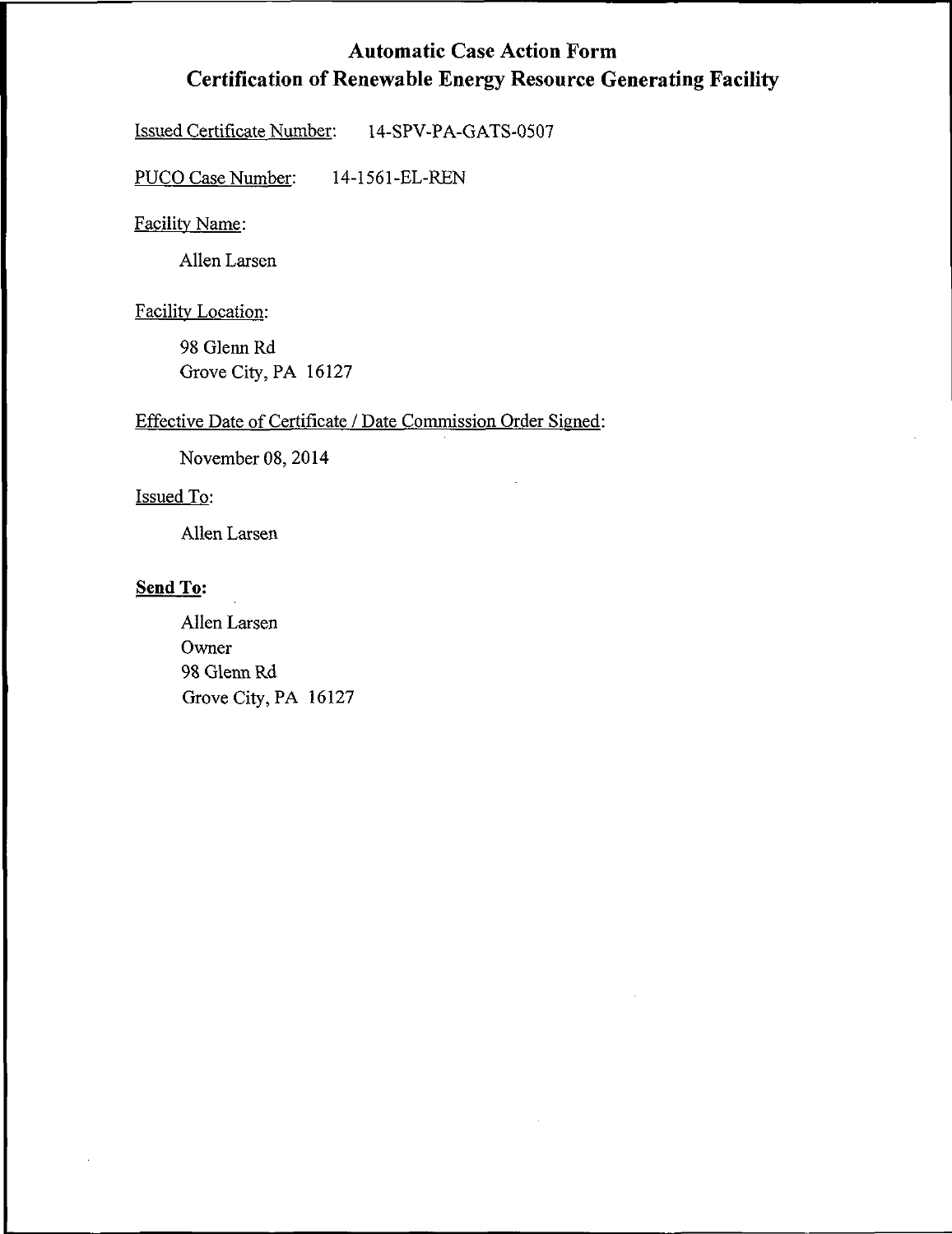# Automatic Case Action Form Certification of Renewable Energy Resource Generating Facility

Issued Certificate Number: 14-SPV-PA-GATS-0507

PUCO Case Number: 14-1561-EL-REN

Facility Name:

Allen Larsen

Facility Location:

98 Glenn Rd Grove City, PA 16127

#### Effective Date of Certificate / Date Commission Order Signed:

November 08, 2014

#### Issued To:

Allen Larsen

## Send To:

Allen Larsen Owner 98 Glenn Rd Grove City, PA 16127